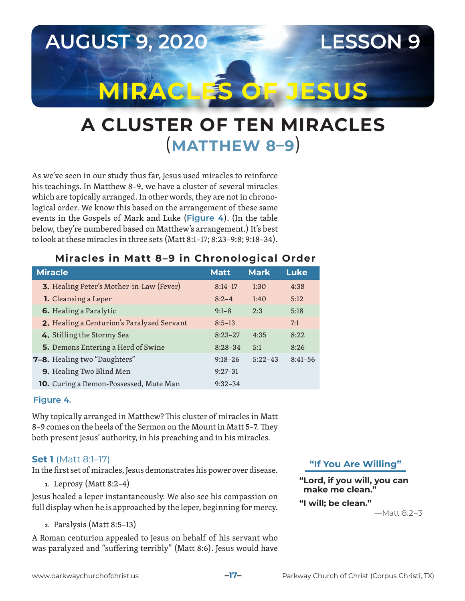

# **A CLUSTER OF TEN MIRACLES**  (**MATTHEW 8–9**)

As we've seen in our study thus far, Jesus used miracles to reinforce his teachings. In Matthew 8–9, we have a cluster of several miracles which are topically arranged. In other words, they are not in chronological order. We know this based on the arrangement of these same events in the Gospels of Mark and Luke (**Figure 4**). (In the table below, they're numbered based on Matthew's arrangement.) It's best to look at these miracles in three sets (Matt 8:1–17; 8:23–9:8; 9:18–34).

## **Miracles in Matt 8–9 in Chronological Order**

| <b>Miracle</b>                                  | <b>Matt</b> | <b>Mark</b> | <b>Luke</b> |
|-------------------------------------------------|-------------|-------------|-------------|
| <b>3.</b> Healing Peter's Mother-in-Law (Fever) | $8:14-17$   | 1:30        | 4:38        |
| 1. Cleansing a Leper                            | $8:2-4$     | 1:40        | 5:12        |
| 6. Healing a Paralytic                          | $9:1 - 8$   | 2:3         | 5:18        |
| 2. Healing a Centurion's Paralyzed Servant      | $8:5-13$    |             | 7:1         |
| 4. Stilling the Stormy Sea                      | $8:23-27$   | 4:35        | 8:22        |
| 5. Demons Entering a Herd of Swine              | $8:28-34$   | 5:1         | 8:26        |
| <b>7–8.</b> Healing two "Daughters"             | $9:18 - 26$ | $5:22-43$   | $8:41 - 56$ |
| 9. Healing Two Blind Men                        | $9:27-31$   |             |             |
| 10. Curing a Demon-Possessed, Mute Man          | $9:32-34$   |             |             |

## **Figure 4.**

Why topically arranged in Matthew? This cluster of miracles in Matt 8–9 comes on the heels of the Sermon on the Mount in Matt 5–7. They both present Jesus' authority, in his preaching and in his miracles.

## **Set 1** (Matt 8:1–17)

In the first set of miracles, Jesus demonstrates his power over disease.

**1.** Leprosy (Matt 8:2–4)

Jesus healed a leper instantaneously. We also see his compassion on full display when he is approached by the leper, beginning for mercy.

**2.** Paralysis (Matt 8:5–13)

A Roman centurion appealed to Jesus on behalf of his servant who was paralyzed and "suffering terribly" (Matt 8:6). Jesus would have **"If You Are Willing"**

**"Lord, if you will, you can make me clean."**

**"I will; be clean."**

—Matt 8:2–3